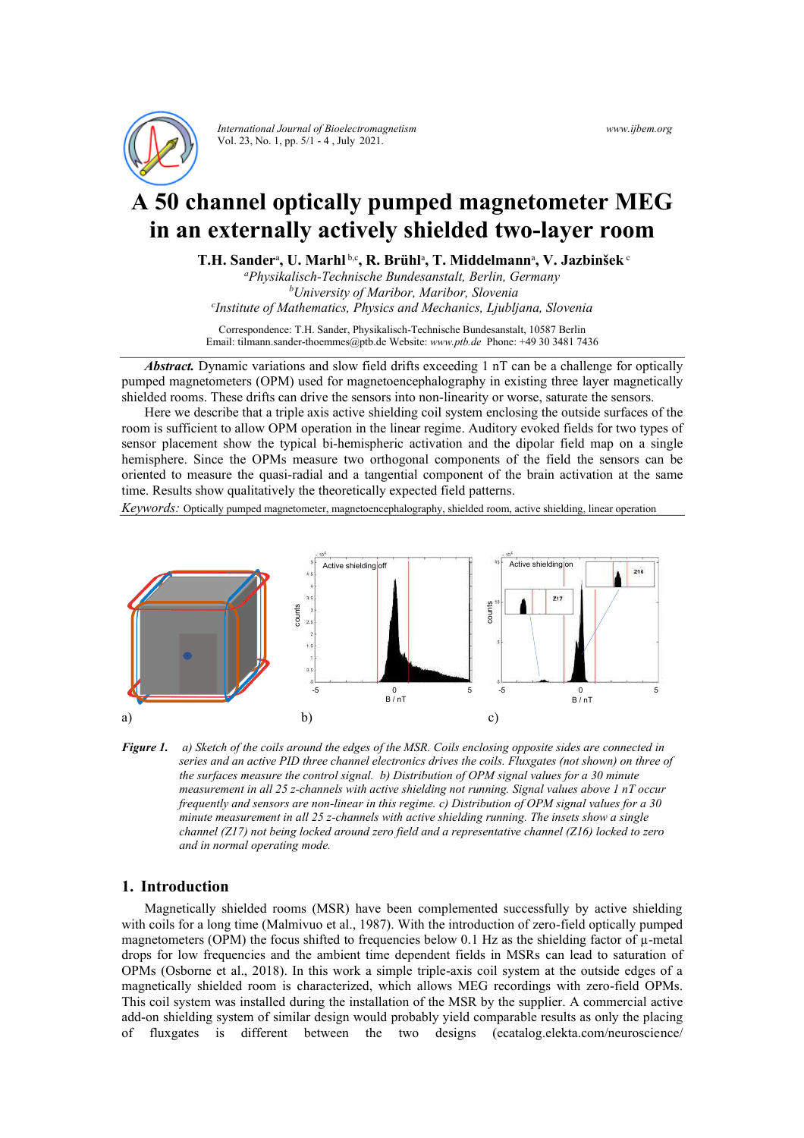

*International Journal of Bioelectromagnetism* Vol. 23, No. 1, pp. 5/1 - 4 , July 2021.

*www.ijbem.org* 

# **A 50 channel optically pumped magnetometer MEG in an externally actively shielded two-layer room**

**T.H. Sander**<sup>a</sup> **, U. Marhl** b,c**, R. Brühl**<sup>a</sup> **, T. Middelmann**<sup>a</sup> **, V. Jazbinšek** <sup>c</sup>

*a Physikalisch-Technische Bundesanstalt, Berlin, Germany b University of Maribor, Maribor, Slovenia c Institute of Mathematics, Physics and Mechanics, Ljubljana, Slovenia*

Correspondence: T.H. Sander, Physikalisch-Technische Bundesanstalt, 10587 Berlin Email: tilmann.sander-thoemmes@ptb.de Website: *www.ptb.de* Phone: +49 30 3481 7436

*Abstract.* Dynamic variations and slow field drifts exceeding 1 nT can be a challenge for optically pumped magnetometers (OPM) used for magnetoencephalography in existing three layer magnetically shielded rooms. These drifts can drive the sensors into non-linearity or worse, saturate the sensors.

Here we describe that a triple axis active shielding coil system enclosing the outside surfaces of the room is sufficient to allow OPM operation in the linear regime. Auditory evoked fields for two types of sensor placement show the typical bi-hemispheric activation and the dipolar field map on a single hemisphere. Since the OPMs measure two orthogonal components of the field the sensors can be oriented to measure the quasi-radial and a tangential component of the brain activation at the same time. Results show qualitatively the theoretically expected field patterns.

*Keywords:* Optically pumped magnetometer, magnetoencephalography, shielded room, active shielding, linear operation



*Figure 1. a) Sketch of the coils around the edges of the MSR. Coils enclosing opposite sides are connected in series and an active PID three channel electronics drives the coils. Fluxgates (not shown) on three of the surfaces measure the control signal. b) Distribution of OPM signal values for a 30 minute measurement in all 25 z-channels with active shielding not running. Signal values above 1 nT occur frequently and sensors are non-linear in this regime. c) Distribution of OPM signal values for a 30 minute measurement in all 25 z-channels with active shielding running. The insets show a single channel (Z17) not being locked around zero field and a representative channel (Z16) locked to zero and in normal operating mode.* 

## **1. Introduction**

Magnetically shielded rooms (MSR) have been complemented successfully by active shielding with coils for a long time (Malmivuo et al., 1987). With the introduction of zero-field optically pumped magnetometers (OPM) the focus shifted to frequencies below 0.1 Hz as the shielding factor of  $\mu$ -metal drops for low frequencies and the ambient time dependent fields in MSRs can lead to saturation of OPMs (Osborne et al., 2018). In this work a simple triple-axis coil system at the outside edges of a magnetically shielded room is characterized, which allows MEG recordings with zero-field OPMs. This coil system was installed during the installation of the MSR by the supplier. A commercial active add-on shielding system of similar design would probably yield comparable results as only the placing of fluxgates is different between the two designs (ecatalog.elekta.com/neuroscience/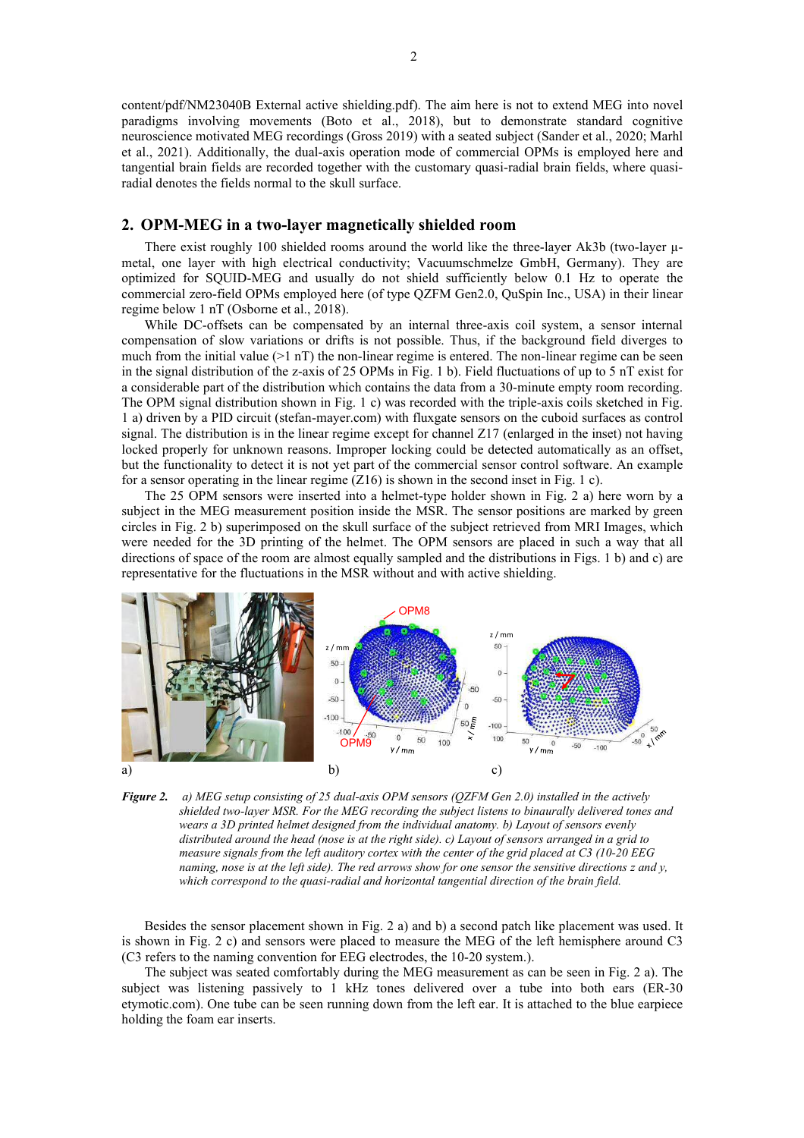content/pdf/NM23040B External active shielding.pdf). The aim here is not to extend MEG into novel paradigms involving movements (Boto et al., 2018), but to demonstrate standard cognitive neuroscience motivated MEG recordings (Gross 2019) with a seated subject (Sander et al., 2020; Marhl et al., 2021). Additionally, the dual-axis operation mode of commercial OPMs is employed here and tangential brain fields are recorded together with the customary quasi-radial brain fields, where quasiradial denotes the fields normal to the skull surface.

## **2. OPM-MEG in a two-layer magnetically shielded room**

There exist roughly 100 shielded rooms around the world like the three-layer Ak3b (two-layer umetal, one layer with high electrical conductivity; Vacuumschmelze GmbH, Germany). They are optimized for SQUID-MEG and usually do not shield sufficiently below 0.1 Hz to operate the commercial zero-field OPMs employed here (of type QZFM Gen2.0, QuSpin Inc., USA) in their linear regime below 1 nT (Osborne et al., 2018).

While DC-offsets can be compensated by an internal three-axis coil system, a sensor internal compensation of slow variations or drifts is not possible. Thus, if the background field diverges to much from the initial value  $(>1 \text{ nT})$  the non-linear regime is entered. The non-linear regime can be seen in the signal distribution of the z-axis of 25 OPMs in Fig. 1 b). Field fluctuations of up to 5 nT exist for a considerable part of the distribution which contains the data from a 30-minute empty room recording. The OPM signal distribution shown in Fig. 1 c) was recorded with the triple-axis coils sketched in Fig. 1 a) driven by a PID circuit (stefan-mayer.com) with fluxgate sensors on the cuboid surfaces as control signal. The distribution is in the linear regime except for channel Z17 (enlarged in the inset) not having locked properly for unknown reasons. Improper locking could be detected automatically as an offset, but the functionality to detect it is not yet part of the commercial sensor control software. An example for a sensor operating in the linear regime (Z16) is shown in the second inset in Fig. 1 c).

The 25 OPM sensors were inserted into a helmet-type holder shown in Fig. 2 a) here worn by a subject in the MEG measurement position inside the MSR. The sensor positions are marked by green circles in Fig. 2 b) superimposed on the skull surface of the subject retrieved from MRI Images, which were needed for the 3D printing of the helmet. The OPM sensors are placed in such a way that all directions of space of the room are almost equally sampled and the distributions in Figs. 1 b) and c) are representative for the fluctuations in the MSR without and with active shielding.



*Figure 2. a) MEG setup consisting of 25 dual-axis OPM sensors (QZFM Gen 2.0) installed in the actively shielded two-layer MSR. For the MEG recording the subject listens to binaurally delivered tones and wears a 3D printed helmet designed from the individual anatomy. b) Layout of sensors evenly distributed around the head (nose is at the right side). c) Layout of sensors arranged in a grid to measure signals from the left auditory cortex with the center of the grid placed at C3 (10-20 EEG naming, nose is at the left side). The red arrows show for one sensor the sensitive directions z and y, which correspond to the quasi-radial and horizontal tangential direction of the brain field.*

Besides the sensor placement shown in Fig. 2 a) and b) a second patch like placement was used. It is shown in Fig. 2 c) and sensors were placed to measure the MEG of the left hemisphere around C3 (C3 refers to the naming convention for EEG electrodes, the 10-20 system.).

The subject was seated comfortably during the MEG measurement as can be seen in Fig. 2 a). The subject was listening passively to 1 kHz tones delivered over a tube into both ears (ER-30 etymotic.com). One tube can be seen running down from the left ear. It is attached to the blue earpiece holding the foam ear inserts.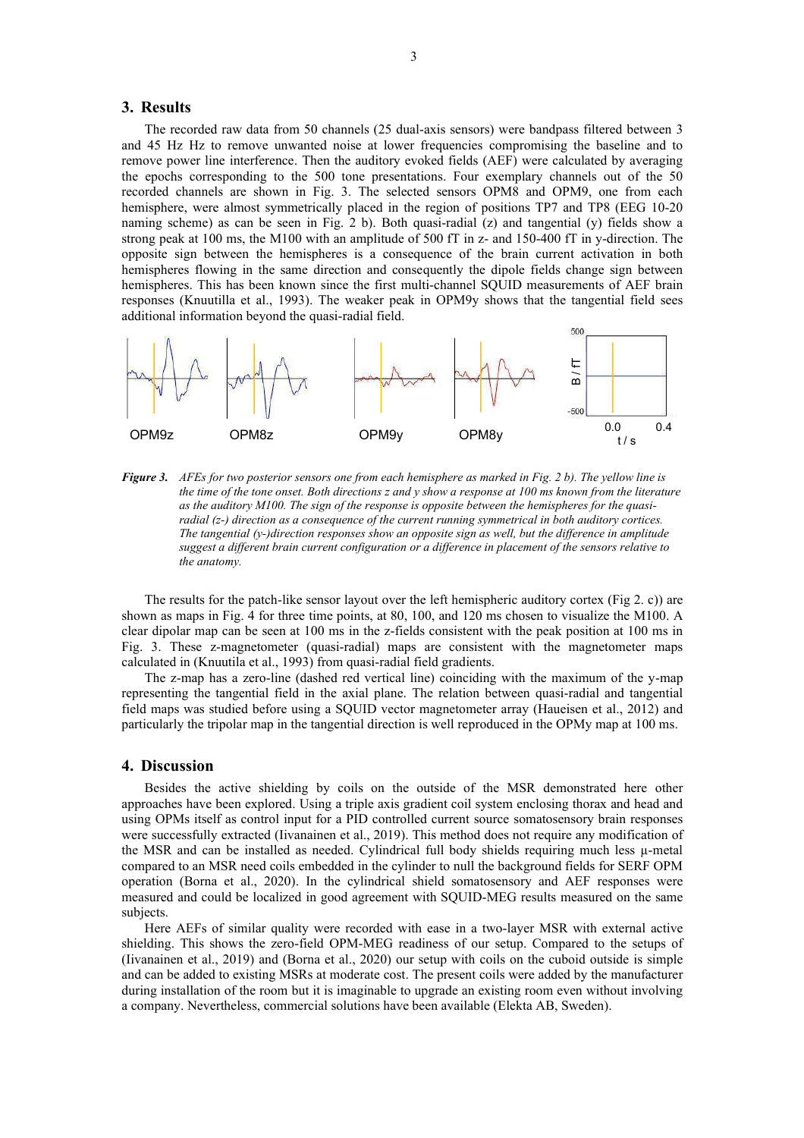### **3. Results**

The recorded raw data from 50 channels (25 dual-axis sensors) were bandpass filtered between 3 and 45 Hz Hz to remove unwanted noise at lower frequencies compromising the baseline and to remove power line interference. Then the auditory evoked fields (AEF) were calculated by averaging the epochs corresponding to the 500 tone presentations. Four exemplary channels out of the 50 recorded channels are shown in Fig. 3. The selected sensors OPM8 and OPM9, one from each hemisphere, were almost symmetrically placed in the region of positions TP7 and TP8 (EEG 10-20 naming scheme) as can be seen in Fig. 2 b). Both quasi-radial  $(z)$  and tangential  $(y)$  fields show a strong peak at 100 ms, the M100 with an amplitude of 500 fT in z- and 150-400 fT in y-direction. The opposite sign between the hemispheres is a consequence of the brain current activation in both hemispheres flowing in the same direction and consequently the dipole fields change sign between hemispheres. This has been known since the first multi-channel SQUID measurements of AEF brain responses (Knuutilla et al., 1993). The weaker peak in OPM9y shows that the tangential field sees additional information beyond the quasi-radial field.



*Figure 3. AFEs for two posterior sensors one from each hemisphere as marked in Fig. 2 b). The yellow line is the time of the tone onset. Both directions z and y show a response at 100 ms known from the literature as the auditory M100. The sign of the response is opposite between the hemispheres for the quasiradial (z-) direction as a consequence of the current running symmetrical in both auditory cortices. The tangential (y-)direction responses show an opposite sign as well, but the difference in amplitude suggest a different brain current configuration or a difference in placement of the sensors relative to the anatomy.*

The results for the patch-like sensor layout over the left hemispheric auditory cortex (Fig 2. c)) are shown as maps in Fig. 4 for three time points, at 80, 100, and 120 ms chosen to visualize the M100. A clear dipolar map can be seen at 100 ms in the z-fields consistent with the peak position at 100 ms in Fig. 3. These z-magnetometer (quasi-radial) maps are consistent with the magnetometer maps calculated in (Knuutila et al., 1993) from quasi-radial field gradients.

The z-map has a zero-line (dashed red vertical line) coinciding with the maximum of the y-map representing the tangential field in the axial plane. The relation between quasi-radial and tangential field maps was studied before using a SQUID vector magnetometer array (Haueisen et al., 2012) and particularly the tripolar map in the tangential direction is well reproduced in the OPMy map at 100 ms.

#### **4. Discussion**

Besides the active shielding by coils on the outside of the MSR demonstrated here other approaches have been explored. Using a triple axis gradient coil system enclosing thorax and head and using OPMs itself as control input for a PID controlled current source somatosensory brain responses were successfully extracted (Iivanainen et al., 2019). This method does not require any modification of the MSR and can be installed as needed. Cylindrical full body shields requiring much less  $\mu$ -metal compared to an MSR need coils embedded in the cylinder to null the background fields for SERF OPM operation (Borna et al., 2020). In the cylindrical shield somatosensory and AEF responses were measured and could be localized in good agreement with SQUID-MEG results measured on the same subjects.

Here AEFs of similar quality were recorded with ease in a two-layer MSR with external active shielding. This shows the zero-field OPM-MEG readiness of our setup. Compared to the setups of (Iivanainen et al., 2019) and (Borna et al., 2020) our setup with coils on the cuboid outside is simple and can be added to existing MSRs at moderate cost. The present coils were added by the manufacturer during installation of the room but it is imaginable to upgrade an existing room even without involving a company. Nevertheless, commercial solutions have been available (Elekta AB, Sweden).